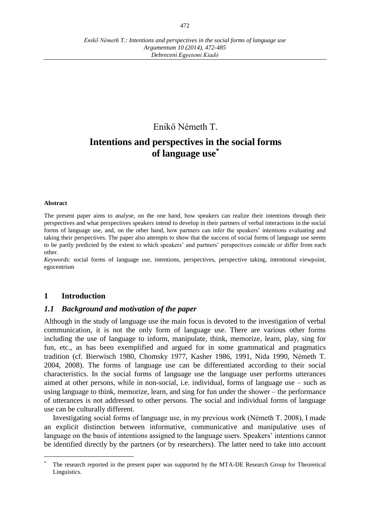## Enikő Németh T.

# **Intentions and perspectives in the social forms of language use\***

#### **Abstract**

 $\overline{a}$ 

The present paper aims to analyse, on the one hand, how speakers can realize their intentions through their perspectives and what perspectives speakers intend to develop in their partners of verbal interactions in the social forms of language use, and, on the other hand, how partners can infer the speakers' intentions evaluating and taking their perspectives. The paper also attempts to show that the success of social forms of language use seems to be partly predicted by the extent to which speakers' and partners' perspectives coincide or differ from each other.

*Keywords*: social forms of language use, intentions, perspectives, perspective taking, intentional viewpoint, egocentrism

#### **1 Introduction**

### *1.1 Background and motivation of the paper*

Although in the study of language use the main focus is devoted to the investigation of verbal communication, it is not the only form of language use. There are various other forms including the use of language to inform, manipulate, think, memorize, learn, play, sing for fun, etc., as has been exemplified and argued for in some grammatical and pragmatics tradition (cf. Bierwisch 1980, Chomsky 1977, Kasher 1986, 1991, Nida 1990, Németh T. 2004, 2008). The forms of language use can be differentiated according to their social characteristics. In the social forms of language use the language user performs utterances aimed at other persons, while in non-social, i.e. individual, forms of language use – such as using language to think, memorize, learn, and sing for fun under the shower – the performance of utterances is not addressed to other persons. The social and individual forms of language use can be culturally different.

Investigating social forms of language use, in my previous work (Németh T. 2008), I made an explicit distinction between informative, communicative and manipulative uses of language on the basis of intentions assigned to the language users. Speakers' intentions cannot be identified directly by the partners (or by researchers). The latter need to take into account

The research reported in the present paper was supported by the MTA-DE Research Group for Theoretical Linguistics.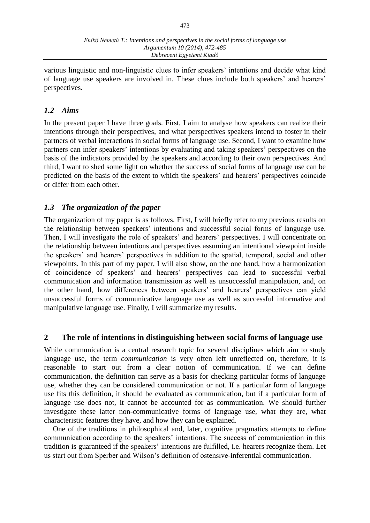various linguistic and non-linguistic clues to infer speakers' intentions and decide what kind of language use speakers are involved in. These clues include both speakers' and hearers' perspectives.

### *1.2 Aims*

In the present paper I have three goals. First, I aim to analyse how speakers can realize their intentions through their perspectives, and what perspectives speakers intend to foster in their partners of verbal interactions in social forms of language use. Second, I want to examine how partners can infer speakers' intentions by evaluating and taking speakers' perspectives on the basis of the indicators provided by the speakers and according to their own perspectives. And third, I want to shed some light on whether the success of social forms of language use can be predicted on the basis of the extent to which the speakers' and hearers' perspectives coincide or differ from each other.

### *1.3 The organization of the paper*

The organization of my paper is as follows. First, I will briefly refer to my previous results on the relationship between speakers' intentions and successful social forms of language use. Then, I will investigate the role of speakers' and hearers' perspectives. I will concentrate on the relationship between intentions and perspectives assuming an intentional viewpoint inside the speakers' and hearers' perspectives in addition to the spatial, temporal, social and other viewpoints. In this part of my paper, I will also show, on the one hand, how a harmonization of coincidence of speakers' and hearers' perspectives can lead to successful verbal communication and information transmission as well as unsuccessful manipulation, and, on the other hand, how differences between speakers' and hearers' perspectives can yield unsuccessful forms of communicative language use as well as successful informative and manipulative language use. Finally, I will summarize my results.

### **2 The role of intentions in distinguishing between social forms of language use**

While communication is a central research topic for several disciplines which aim to study language use, the term *communication* is very often left unreflected on, therefore, it is reasonable to start out from a clear notion of communication. If we can define communication, the definition can serve as a basis for checking particular forms of language use, whether they can be considered communication or not. If a particular form of language use fits this definition, it should be evaluated as communication, but if a particular form of language use does not, it cannot be accounted for as communication. We should further investigate these latter non-communicative forms of language use, what they are, what characteristic features they have, and how they can be explained.

One of the traditions in philosophical and, later, cognitive pragmatics attempts to define communication according to the speakers' intentions. The success of communication in this tradition is guaranteed if the speakers' intentions are fulfilled, i.e. hearers recognize them. Let us start out from Sperber and Wilson's definition of ostensive-inferential communication.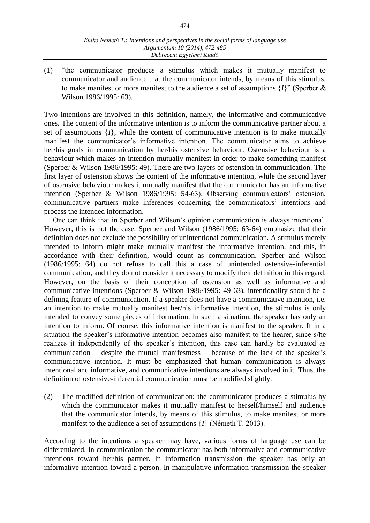(1) "the communicator produces a stimulus which makes it mutually manifest to communicator and audience that the communicator intends, by means of this stimulus, to make manifest or more manifest to the audience a set of assumptions  $\{I\}$ <sup>"</sup> (Sperber & Wilson 1986/1995: 63).

Two intentions are involved in this definition, namely, the informative and communicative ones. The content of the informative intention is to inform the communicative partner about a set of assumptions  $\{I\}$ , while the content of communicative intention is to make mutually manifest the communicator's informative intention. The communicator aims to achieve her/his goals in communication by her/his ostensive behaviour. Ostensive behaviour is a behaviour which makes an intention mutually manifest in order to make something manifest (Sperber & Wilson 1986/1995: 49). There are two layers of ostension in communication. The first layer of ostension shows the content of the informative intention, while the second layer of ostensive behaviour makes it mutually manifest that the communicator has an informative intention (Sperber & Wilson 1986/1995: 54-63). Observing communicators' ostension, communicative partners make inferences concerning the communicators' intentions and process the intended information.

One can think that in Sperber and Wilson's opinion communication is always intentional. However, this is not the case. Sperber and Wilson (1986/1995: 63-64) emphasize that their definition does not exclude the possibility of unintentional communication. A stimulus merely intended to inform might make mutually manifest the informative intention, and this, in accordance with their definition, would count as communication. Sperber and Wilson (1986/1995: 64) do not refuse to call this a case of unintended ostensive-inferential communication, and they do not consider it necessary to modify their definition in this regard. However, on the basis of their conception of ostension as well as informative and communicative intentions (Sperber & Wilson 1986/1995: 49-63), intentionality should be a defining feature of communication. If a speaker does not have a communicative intention, i.e. an intention to make mutually manifest her/his informative intention, the stimulus is only intended to convey some pieces of information. In such a situation, the speaker has only an intention to inform. Of course, this informative intention is manifest to the speaker. If in a situation the speaker's informative intention becomes also manifest to the hearer, since s/he realizes it independently of the speaker's intention, this case can hardly be evaluated as communication  $-$  despite the mutual manifestness  $-$  because of the lack of the speaker's communicative intention. It must be emphasized that human communication is always intentional and informative, and communicative intentions are always involved in it. Thus, the definition of ostensive-inferential communication must be modified slightly:

(2) The modified definition of communication: the communicator produces a stimulus by which the communicator makes it mutually manifest to herself/himself and audience that the communicator intends, by means of this stimulus, to make manifest or more manifest to the audience a set of assumptions  $\{I\}$  (Németh T. 2013).

According to the intentions a speaker may have, various forms of language use can be differentiated. In communication the communicator has both informative and communicative intentions toward her/his partner. In information transmission the speaker has only an informative intention toward a person. In manipulative information transmission the speaker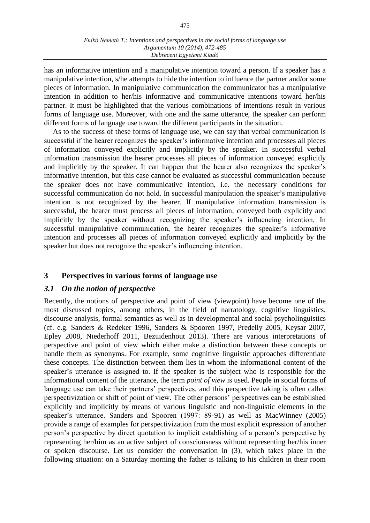has an informative intention and a manipulative intention toward a person. If a speaker has a manipulative intention, s/he attempts to hide the intention to influence the partner and/or some pieces of information. In manipulative communication the communicator has a manipulative intention in addition to her/his informative and communicative intentions toward her/his partner. It must be highlighted that the various combinations of intentions result in various forms of language use. Moreover, with one and the same utterance, the speaker can perform different forms of language use toward the different participants in the situation.

As to the success of these forms of language use, we can say that verbal communication is successful if the hearer recognizes the speaker's informative intention and processes all pieces of information conveyed explicitly and implicitly by the speaker. In successful verbal information transmission the hearer processes all pieces of information conveyed explicitly and implicitly by the speaker. It can happen that the hearer also recognizes the speaker's informative intention, but this case cannot be evaluated as successful communication because the speaker does not have communicative intention, i.e. the necessary conditions for successful communication do not hold. In successful manipulation the speaker's manipulative intention is not recognized by the hearer. If manipulative information transmission is successful, the hearer must process all pieces of information, conveyed both explicitly and implicitly by the speaker without recognizing the speaker's influencing intention. In successful manipulative communication, the hearer recognizes the speaker's informative intention and processes all pieces of information conveyed explicitly and implicitly by the speaker but does not recognize the speaker's influencing intention.

### **3 Perspectives in various forms of language use**

### *3.1 On the notion of perspective*

Recently, the notions of perspective and point of view (viewpoint) have become one of the most discussed topics, among others, in the field of narratology, cognitive linguistics, discourse analysis, formal semantics as well as in developmental and social psycholinguistics (cf. e.g. Sanders & Redeker 1996, Sanders & Spooren 1997, Predelly 2005, Keysar 2007, Epley 2008, Niederhoff 2011, Bezuidenhout 2013). There are various interpretations of perspective and point of view which either make a distinction between these concepts or handle them as synonyms. For example, some cognitive linguistic approaches differentiate these concepts. The distinction between them lies in whom the informational content of the speaker's utterance is assigned to. If the speaker is the subject who is responsible for the informational content of the utterance, the term *point of view* is used. People in social forms of language use can take their partners' perspectives, and this perspective taking is often called perspectivization or shift of point of view. The other persons' perspectives can be established explicitly and implicitly by means of various linguistic and non-linguistic elements in the speaker's utterance. Sanders and Spooren (1997: 89-91) as well as MacWinney (2005) provide a range of examples for perspectivization from the most explicit expression of another person's perspective by direct quotation to implicit establishing of a person's perspective by representing her/him as an active subject of consciousness without representing her/his inner or spoken discourse. Let us consider the conversation in (3), which takes place in the following situation: on a Saturday morning the father is talking to his children in their room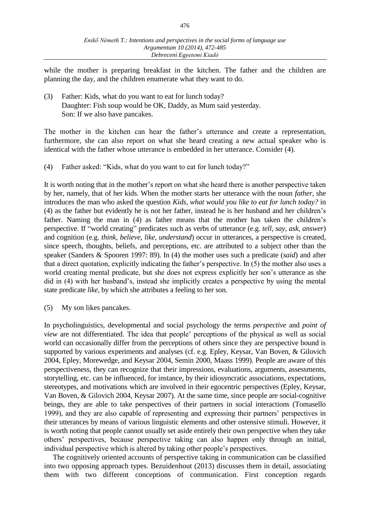while the mother is preparing breakfast in the kitchen. The father and the children are planning the day, and the children enumerate what they want to do.

(3) Father: Kids, what do you want to eat for lunch today? Daughter: Fish soup would be OK, Daddy, as Mum said yesterday. Son: If we also have pancakes.

The mother in the kitchen can hear the father's utterance and create a representation, furthermore, she can also report on what she heard creating a new actual speaker who is identical with the father whose utterance is embedded in her utterance. Consider (4).

(4) Father asked: "Kids, what do you want to eat for lunch today?"

It is worth noting that in the mother's report on what she heard there is another perspective taken by her, namely, that of her kids. When the mother starts her utterance with the noun *father,* she introduces the man who asked the question *Kids, what would you like to eat for lunch today?* in (4) as the father but evidently he is not her father, instead he is her husband and her children's father. Naming the man in (4) as father means that the mother has taken the children's perspective. If "world creating" predicates such as verbs of utterance (e.g. *tell, say, ask, answer*) and cognition (e.g. *think, believe, like, understand*) occur in utterances, a perspective is created, since speech, thoughts, beliefs, and perceptions, etc. are attributed to a subject other than the speaker (Sanders & Spooren 1997: 89). In (4) the mother uses such a predicate (*said*) and after that a direct quotation, explicitly indicating the father's perspective. In (5) the mother also uses a world creating mental predicate, but she does not express explicitly her son's utterance as she did in (4) with her husband's, instead she implicitly creates a perspective by using the mental state predicate *like,* by which she attributes a feeling to her son.

(5) My son likes pancakes.

In psycholinguistics, developmental and social psychology the terms *perspective* and *point of view* are not differentiated. The idea that people' perceptions of the physical as well as social world can occasionally differ from the perceptions of others since they are perspective bound is supported by various experiments and analyses (cf. e.g. Epley, Keysar, Van Boven, & Gilovich 2004, Epley, Morewedge, and Keysar 2004, Semin 2000, Maass 1999). People are aware of this perspectiveness, they can recognize that their impressions, evaluations, arguments, assessments, storytelling, etc. can be influenced, for instance, by their idiosyncratic associations, expectations, stereotypes, and motivations which are involved in their egocentric perspectives (Epley, Keysar, Van Boven, & Gilovich 2004, Keysar 2007). At the same time, since people are social-cognitive beings, they are able to take perspectives of their partners in social interactions (Tomasello 1999), and they are also capable of representing and expressing their partners' perspectives in their utterances by means of various linguistic elements and other ostensive stimuli. However, it is worth noting that people cannot usually set aside entirely their own perspective when they take others' perspectives, because perspective taking can also happen only through an initial, individual perspective which is altered by taking other people's perspectives.

The cognitively oriented accounts of perspective taking in communication can be classified into two opposing approach types. Bezuidenhout (2013) discusses them in detail, associating them with two different conceptions of communication. First conception regards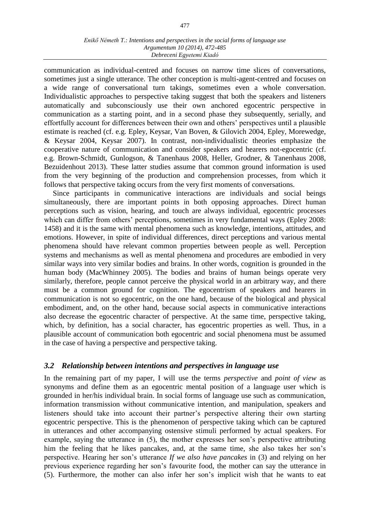communication as individual-centred and focuses on narrow time slices of conversations, sometimes just a single utterance. The other conception is multi-agent-centred and focuses on a wide range of conversational turn takings, sometimes even a whole conversation. Individualistic approaches to perspective taking suggest that both the speakers and listeners automatically and subconsciously use their own anchored egocentric perspective in communication as a starting point, and in a second phase they subsequently, serially, and effortfully account for differences between their own and others' perspectives until a plausible estimate is reached (cf. e.g. Epley, Keysar, Van Boven, & Gilovich 2004, Epley, Morewedge, & Keysar 2004, Keysar 2007). In contrast, non-individualistic theories emphasize the cooperative nature of communication and consider speakers and hearers not-egocentric (cf. e.g. Brown-Schmidt, Gunlogson, & Tanenhaus 2008, Heller, Grodner, & Tanenhaus 2008, Bezuidenhout 2013). These latter studies assume that common ground information is used from the very beginning of the production and comprehension processes, from which it follows that perspective taking occurs from the very first moments of conversations.

Since participants in communicative interactions are individuals and social beings simultaneously, there are important points in both opposing approaches. Direct human perceptions such as vision, hearing, and touch are always individual, egocentric processes which can differ from others' perceptions, sometimes in very fundamental ways (Epley 2008: 1458) and it is the same with mental phenomena such as knowledge, intentions, attitudes, and emotions. However, in spite of individual differences, direct perceptions and various mental phenomena should have relevant common properties between people as well. Perception systems and mechanisms as well as mental phenomena and procedures are embodied in very similar ways into very similar bodies and brains. In other words, cognition is grounded in the human body (MacWhinney 2005). The bodies and brains of human beings operate very similarly, therefore, people cannot perceive the physical world in an arbitrary way, and there must be a common ground for cognition. The egocentrism of speakers and hearers in communication is not so egocentric, on the one hand, because of the biological and physical embodiment, and, on the other hand, because social aspects in communicative interactions also decrease the egocentric character of perspective. At the same time, perspective taking, which, by definition, has a social character, has egocentric properties as well. Thus, in a plausible account of communication both egocentric and social phenomena must be assumed in the case of having a perspective and perspective taking.

### *3.2 Relationship between intentions and perspectives in language use*

In the remaining part of my paper, I will use the terms *perspective* and *point of view* as synonyms and define them as an egocentric mental position of a language user which is grounded in her/his individual brain. In social forms of language use such as communication, information transmission without communicative intention, and manipulation, speakers and listeners should take into account their partner's perspective altering their own starting egocentric perspective. This is the phenomenon of perspective taking which can be captured in utterances and other accompanying ostensive stimuli performed by actual speakers. For example, saying the utterance in (5), the mother expresses her son's perspective attributing him the feeling that he likes pancakes, and, at the same time, she also takes her son's perspective. Hearing her son's utterance *If we also have pancakes* in (3) and relying on her previous experience regarding her son's favourite food, the mother can say the utterance in (5). Furthermore, the mother can also infer her son's implicit wish that he wants to eat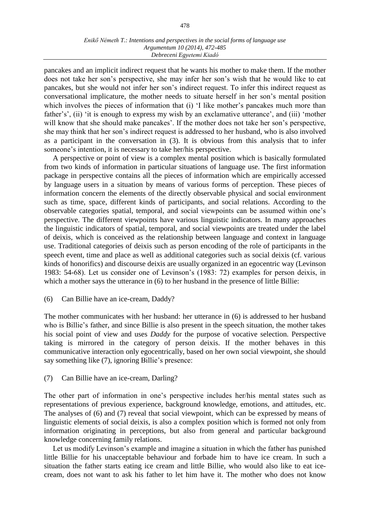pancakes and an implicit indirect request that he wants his mother to make them. If the mother does not take her son's perspective, she may infer her son's wish that he would like to eat pancakes, but she would not infer her son's indirect request. To infer this indirect request as conversational implicature, the mother needs to situate herself in her son's mental position which involves the pieces of information that (i) 'I like mother's pancakes much more than father's', (ii) 'it is enough to express my wish by an exclamative utterance', and (iii) 'mother will know that she should make pancakes'. If the mother does not take her son's perspective, she may think that her son's indirect request is addressed to her husband, who is also involved as a participant in the conversation in (3). It is obvious from this analysis that to infer someone's intention, it is necessary to take her/his perspective.

A perspective or point of view is a complex mental position which is basically formulated from two kinds of information in particular situations of language use. The first information package in perspective contains all the pieces of information which are empirically accessed by language users in a situation by means of various forms of perception. These pieces of information concern the elements of the directly observable physical and social environment such as time, space, different kinds of participants, and social relations. According to the observable categories spatial, temporal, and social viewpoints can be assumed within one's perspective. The different viewpoints have various linguistic indicators. In many approaches the linguistic indicators of spatial, temporal, and social viewpoints are treated under the label of deixis, which is conceived as the relationship between language and context in language use. Traditional categories of deixis such as person encoding of the role of participants in the speech event, time and place as well as additional categories such as social deixis (cf. various kinds of honorifics) and discourse deixis are usually organized in an egocentric way (Levinson 1983: 54-68). Let us consider one of Levinson's (1983: 72) examples for person deixis, in which a mother says the utterance in  $(6)$  to her husband in the presence of little Billie:

#### (6) Can Billie have an ice-cream, Daddy?

The mother communicates with her husband: her utterance in (6) is addressed to her husband who is Billie's father, and since Billie is also present in the speech situation, the mother takes his social point of view and uses *Daddy* for the purpose of vocative selection. Perspective taking is mirrored in the category of person deixis. If the mother behaves in this communicative interaction only egocentrically, based on her own social viewpoint, she should say something like (7), ignoring Billie's presence:

#### (7) Can Billie have an ice-cream, Darling?

The other part of information in one's perspective includes her/his mental states such as representations of previous experience, background knowledge, emotions, and attitudes, etc. The analyses of (6) and (7) reveal that social viewpoint, which can be expressed by means of linguistic elements of social deixis, is also a complex position which is formed not only from information originating in perceptions, but also from general and particular background knowledge concerning family relations.

Let us modify Levinson's example and imagine a situation in which the father has punished little Billie for his unacceptable behaviour and forbade him to have ice cream. In such a situation the father starts eating ice cream and little Billie, who would also like to eat icecream, does not want to ask his father to let him have it. The mother who does not know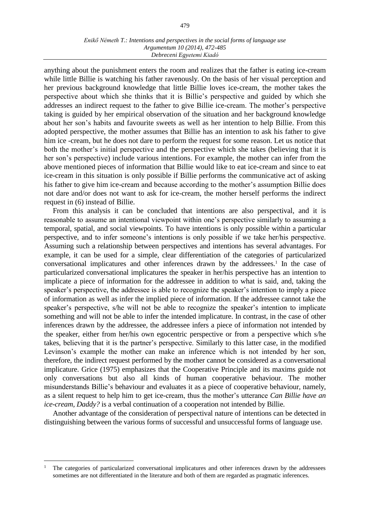anything about the punishment enters the room and realizes that the father is eating ice-cream while little Billie is watching his father ravenously. On the basis of her visual perception and her previous background knowledge that little Billie loves ice-cream, the mother takes the perspective about which she thinks that it is Billie's perspective and guided by which she addresses an indirect request to the father to give Billie ice-cream. The mother's perspective taking is guided by her empirical observation of the situation and her background knowledge about her son's habits and favourite sweets as well as her intention to help Billie. From this adopted perspective, the mother assumes that Billie has an intention to ask his father to give him ice -cream, but he does not dare to perform the request for some reason. Let us notice that both the mother's initial perspective and the perspective which she takes (believing that it is her son's perspective) include various intentions. For example, the mother can infer from the above mentioned pieces of information that Billie would like to eat ice-cream and since to eat ice-cream in this situation is only possible if Billie performs the communicative act of asking his father to give him ice-cream and because according to the mother's assumption Billie does not dare and/or does not want to ask for ice-cream, the mother herself performs the indirect request in (6) instead of Billie.

From this analysis it can be concluded that intentions are also perspectival, and it is reasonable to assume an intentional viewpoint within one's perspective similarly to assuming a temporal, spatial, and social viewpoints. To have intentions is only possible within a particular perspective, and to infer someone's intentions is only possible if we take her/his perspective. Assuming such a relationship between perspectives and intentions has several advantages. For example, it can be used for a simple, clear differentiation of the categories of particularized conversational implicatures and other inferences drawn by the addressees.<sup>1</sup> In the case of particularized conversational implicatures the speaker in her/his perspective has an intention to implicate a piece of information for the addressee in addition to what is said, and, taking the speaker's perspective, the addressee is able to recognize the speaker's intention to imply a piece of information as well as infer the implied piece of information. If the addressee cannot take the speaker's perspective, s/he will not be able to recognize the speaker's intention to implicate something and will not be able to infer the intended implicature. In contrast, in the case of other inferences drawn by the addressee, the addressee infers a piece of information not intended by the speaker, either from her/his own egocentric perspective or from a perspective which s/he takes, believing that it is the partner's perspective. Similarly to this latter case, in the modified Levinson's example the mother can make an inference which is not intended by her son, therefore, the indirect request performed by the mother cannot be considered as a conversational implicature. Grice (1975) emphasizes that the Cooperative Principle and its maxims guide not only conversations but also all kinds of human cooperative behaviour. The mother misunderstands Billie's behaviour and evaluates it as a piece of cooperative behaviour, namely, as a silent request to help him to get ice-cream, thus the mother's utterance *Can Billie have an ice-cream, Daddy?* is a verbal continuation of a cooperation not intended by Billie.

Another advantage of the consideration of perspectival nature of intentions can be detected in distinguishing between the various forms of successful and unsuccessful forms of language use.

 $\overline{a}$ 

<sup>1</sup> The categories of particularized conversational implicatures and other inferences drawn by the addressees sometimes are not differentiated in the literature and both of them are regarded as pragmatic inferences.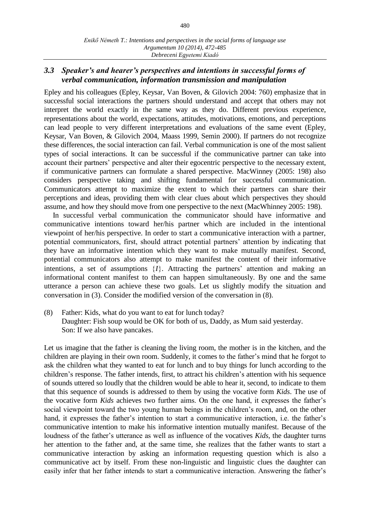### *3.3 Speaker's and hearer's perspectives and intentions in successful forms of verbal communication, information transmission and manipulation*

Epley and his colleagues (Epley, Keysar, Van Boven, & Gilovich 2004: 760) emphasize that in successful social interactions the partners should understand and accept that others may not interpret the world exactly in the same way as they do. Different previous experience, representations about the world, expectations, attitudes, motivations, emotions, and perceptions can lead people to very different interpretations and evaluations of the same event (Epley, Keysar, Van Boven, & Gilovich 2004, Maass 1999, Semin 2000). If partners do not recognize these differences, the social interaction can fail. Verbal communication is one of the most salient types of social interactions. It can be successful if the communicative partner can take into account their partners' perspective and alter their egocentric perspective to the necessary extent, if communicative partners can formulate a shared perspective. MacWinney (2005: 198) also considers perspective taking and shifting fundamental for successful communication. Communicators attempt to maximize the extent to which their partners can share their perceptions and ideas, providing them with clear clues about which perspectives they should assume, and how they should move from one perspective to the next (MacWhinney 2005: 198).

In successful verbal communication the communicator should have informative and communicative intentions toward her/his partner which are included in the intentional viewpoint of her/his perspective. In order to start a communicative interaction with a partner, potential communicators, first, should attract potential partners' attention by indicating that they have an informative intention which they want to make mutually manifest. Second, potential communicators also attempt to make manifest the content of their informative intentions, a set of assumptions *I*. Attracting the partners' attention and making an informational content manifest to them can happen simultaneously. By one and the same utterance a person can achieve these two goals. Let us slightly modify the situation and conversation in (3). Consider the modified version of the conversation in (8).

(8) Father: Kids, what do you want to eat for lunch today? Daughter: Fish soup would be OK for both of us, Daddy, as Mum said yesterday. Son: If we also have pancakes.

Let us imagine that the father is cleaning the living room, the mother is in the kitchen, and the children are playing in their own room. Suddenly, it comes to the father's mind that he forgot to ask the children what they wanted to eat for lunch and to buy things for lunch according to the children's response. The father intends, first, to attract his children's attention with his sequence of sounds uttered so loudly that the children would be able to hear it, second, to indicate to them that this sequence of sounds is addressed to them by using the vocative form *Kids*. The use of the vocative form *Kids* achieves two further aims. On the one hand, it expresses the father's social viewpoint toward the two young human beings in the children's room, and, on the other hand, it expresses the father's intention to start a communicative interaction, i.e. the father's communicative intention to make his informative intention mutually manifest. Because of the loudness of the father's utterance as well as influence of the vocatives *Kids*, the daughter turns her attention to the father and, at the same time, she realizes that the father wants to start a communicative interaction by asking an information requesting question which is also a communicative act by itself. From these non-linguistic and linguistic clues the daughter can easily infer that her father intends to start a communicative interaction. Answering the father's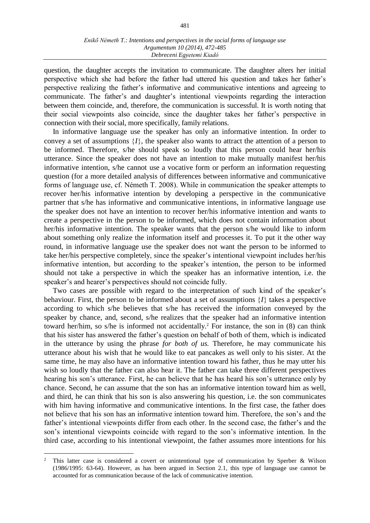question, the daughter accepts the invitation to communicate. The daughter alters her initial perspective which she had before the father had uttered his question and takes her father's perspective realizing the father's informative and communicative intentions and agreeing to communicate. The father's and daughter's intentional viewpoints regarding the interaction between them coincide, and, therefore, the communication is successful. It is worth noting that their social viewpoints also coincide, since the daughter takes her father's perspective in connection with their social, more specifically, family relations.

In informative language use the speaker has only an informative intention. In order to convey a set of assumptions  $\{I\}$ , the speaker also wants to attract the attention of a person to be informed. Therefore, s/he should speak so loudly that this person could hear her/his utterance. Since the speaker does not have an intention to make mutually manifest her/his informative intention, s/he cannot use a vocative form or perform an information requesting question (for a more detailed analysis of differences between informative and communicative forms of language use, cf. Németh T. 2008). While in communication the speaker attempts to recover her/his informative intention by developing a perspective in the communicative partner that s/he has informative and communicative intentions, in informative language use the speaker does not have an intention to recover her/his informative intention and wants to create a perspective in the person to be informed, which does not contain information about her/his informative intention. The speaker wants that the person s/he would like to inform about something only realize the information itself and processes it. To put it the other way round, in informative language use the speaker does not want the person to be informed to take her/his perspective completely, since the speaker's intentional viewpoint includes her/his informative intention, but according to the speaker's intention, the person to be informed should not take a perspective in which the speaker has an informative intention, i.e. the speaker's and hearer's perspectives should not coincide fully.

Two cases are possible with regard to the interpretation of such kind of the speaker's behaviour. First, the person to be informed about a set of assumptions  $\{I\}$  takes a perspective according to which s/he believes that s/he has received the information conveyed by the speaker by chance, and, second, s/he realizes that the speaker had an informative intention toward her/him, so s/he is informed not accidentally. <sup>2</sup> For instance, the son in (8) can think that his sister has answered the father's question on behalf of both of them, which is indicated in the utterance by using the phrase *for both of us.* Therefore, he may communicate his utterance about his wish that he would like to eat pancakes as well only to his sister. At the same time, he may also have an informative intention toward his father, thus he may utter his wish so loudly that the father can also hear it. The father can take three different perspectives hearing his son's utterance. First, he can believe that he has heard his son's utterance only by chance. Second, he can assume that the son has an informative intention toward him as well, and third, he can think that his son is also answering his question, i.e. the son communicates with him having informative and communicative intentions. In the first case, the father does not believe that his son has an informative intention toward him. Therefore, the son's and the father's intentional viewpoints differ from each other. In the second case, the father's and the son's intentional viewpoints coincide with regard to the son's informative intention. In the third case, according to his intentional viewpoint, the father assumes more intentions for his

 $\overline{a}$ 

<sup>2</sup> This latter case is considered a covert or unintentional type of communication by Sperber & Wilson (1986/1995: 63-64). However, as has been argued in Section 2.1, this type of language use cannot be accounted for as communication because of the lack of communicative intention.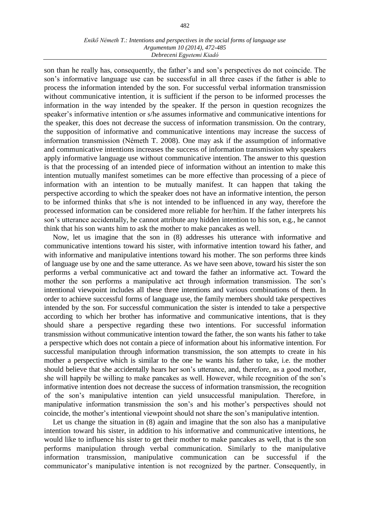son than he really has, consequently, the father's and son's perspectives do not coincide. The son's informative language use can be successful in all three cases if the father is able to process the information intended by the son. For successful verbal information transmission without communicative intention, it is sufficient if the person to be informed processes the information in the way intended by the speaker. If the person in question recognizes the speaker's informative intention or s/he assumes informative and communicative intentions for the speaker, this does not decrease the success of information transmission. On the contrary, the supposition of informative and communicative intentions may increase the success of information transmission (Németh T. 2008). One may ask if the assumption of informative and communicative intentions increases the success of information transmission why speakers apply informative language use without communicative intention. The answer to this question is that the processing of an intended piece of information without an intention to make this intention mutually manifest sometimes can be more effective than processing of a piece of information with an intention to be mutually manifest. It can happen that taking the perspective according to which the speaker does not have an informative intention, the person to be informed thinks that s/he is not intended to be influenced in any way, therefore the processed information can be considered more reliable for her/him. If the father interprets his son's utterance accidentally, he cannot attribute any hidden intention to his son, e.g., he cannot think that his son wants him to ask the mother to make pancakes as well.

Now, let us imagine that the son in (8) addresses his utterance with informative and communicative intentions toward his sister, with informative intention toward his father, and with informative and manipulative intentions toward his mother. The son performs three kinds of language use by one and the same utterance. As we have seen above, toward his sister the son performs a verbal communicative act and toward the father an informative act. Toward the mother the son performs a manipulative act through information transmission. The son's intentional viewpoint includes all these three intentions and various combinations of them. In order to achieve successful forms of language use, the family members should take perspectives intended by the son. For successful communication the sister is intended to take a perspective according to which her brother has informative and communicative intentions, that is they should share a perspective regarding these two intentions. For successful information transmission without communicative intention toward the father, the son wants his father to take a perspective which does not contain a piece of information about his informative intention. For successful manipulation through information transmission, the son attempts to create in his mother a perspective which is similar to the one he wants his father to take, i.e. the mother should believe that she accidentally hears her son's utterance, and, therefore, as a good mother, she will happily be willing to make pancakes as well. However, while recognition of the son's informative intention does not decrease the success of information transmission, the recognition of the son's manipulative intention can yield unsuccessful manipulation. Therefore, in manipulative information transmission the son's and his mother's perspectives should not coincide, the mother's intentional viewpoint should not share the son's manipulative intention.

Let us change the situation in (8) again and imagine that the son also has a manipulative intention toward his sister, in addition to his informative and communicative intentions, he would like to influence his sister to get their mother to make pancakes as well, that is the son performs manipulation through verbal communication. Similarly to the manipulative information transmission, manipulative communication can be successful if the communicator's manipulative intention is not recognized by the partner. Consequently, in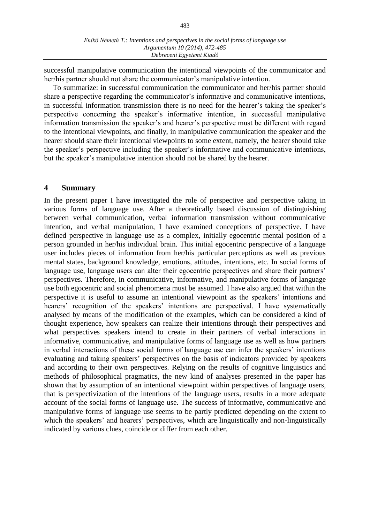successful manipulative communication the intentional viewpoints of the communicator and her/his partner should not share the communicator's manipulative intention.

To summarize: in successful communication the communicator and her/his partner should share a perspective regarding the communicator's informative and communicative intentions, in successful information transmission there is no need for the hearer's taking the speaker's perspective concerning the speaker's informative intention, in successful manipulative information transmission the speaker's and hearer's perspective must be different with regard to the intentional viewpoints, and finally, in manipulative communication the speaker and the hearer should share their intentional viewpoints to some extent, namely, the hearer should take the speaker's perspective including the speaker's informative and communicative intentions, but the speaker's manipulative intention should not be shared by the hearer.

#### **4 Summary**

In the present paper I have investigated the role of perspective and perspective taking in various forms of language use. After a theoretically based discussion of distinguishing between verbal communication, verbal information transmission without communicative intention, and verbal manipulation, I have examined conceptions of perspective. I have defined perspective in language use as a complex, initially egocentric mental position of a person grounded in her/his individual brain. This initial egocentric perspective of a language user includes pieces of information from her/his particular perceptions as well as previous mental states, background knowledge, emotions, attitudes, intentions, etc. In social forms of language use, language users can alter their egocentric perspectives and share their partners' perspectives. Therefore, in communicative, informative, and manipulative forms of language use both egocentric and social phenomena must be assumed. I have also argued that within the perspective it is useful to assume an intentional viewpoint as the speakers' intentions and hearers' recognition of the speakers' intentions are perspectival. I have systematically analysed by means of the modification of the examples, which can be considered a kind of thought experience, how speakers can realize their intentions through their perspectives and what perspectives speakers intend to create in their partners of verbal interactions in informative, communicative, and manipulative forms of language use as well as how partners in verbal interactions of these social forms of language use can infer the speakers' intentions evaluating and taking speakers' perspectives on the basis of indicators provided by speakers and according to their own perspectives. Relying on the results of cognitive linguistics and methods of philosophical pragmatics, the new kind of analyses presented in the paper has shown that by assumption of an intentional viewpoint within perspectives of language users, that is perspectivization of the intentions of the language users, results in a more adequate account of the social forms of language use. The success of informative, communicative and manipulative forms of language use seems to be partly predicted depending on the extent to which the speakers' and hearers' perspectives, which are linguistically and non-linguistically indicated by various clues, coincide or differ from each other.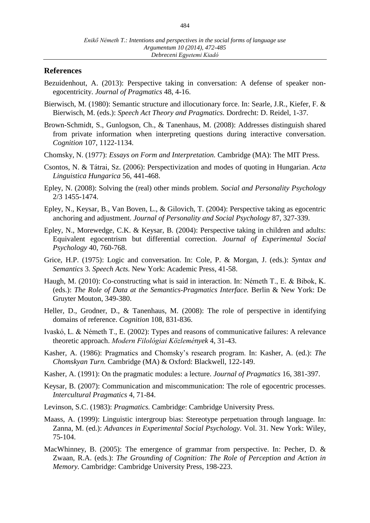### **References**

- Bezuidenhout, A. (2013): Perspective taking in conversation: A defense of speaker nonegocentricity. *Journal of Pragmatics* 48, 4-16.
- Bierwisch, M. (1980): Semantic structure and illocutionary force. In: Searle, J.R., Kiefer, F. & Bierwisch, M. (eds.): *Speech Act Theory and Pragmatics.* Dordrecht: D. Reidel, 1-37.
- Brown-Schmidt, S., Gunlogson, Ch., & Tanenhaus, M. (2008): Addresses distinguish shared from private information when interpreting questions during interactive conversation. *Cognition* 107, 1122-1134.
- Chomsky, N. (1977): *Essays on Form and Interpretation.* Cambridge (MA): The MIT Press.
- Csontos, N. & Tátrai, Sz. (2006): Perspectivization and modes of quoting in Hungarian. *Acta Linguistica Hungarica* 56, 441-468.
- Epley, N. (2008): Solving the (real) other minds problem. *Social and Personality Psychology* 2/3 1455-1474.
- Epley, N., Keysar, B., Van Boven, L., & Gilovich, T. (2004): Perspective taking as egocentric anchoring and adjustment. *Journal of Personality and Social Psychology* 87, 327-339.
- Epley, N., Morewedge, C.K. & Keysar, B. (2004): Perspective taking in children and adults: Equivalent egocentrism but differential correction. *Journal of Experimental Social Psychology* 40, 760-768.
- Grice, H.P. (1975): Logic and conversation. In: Cole, P. & Morgan, J. (eds.): *Syntax and Semantics* 3. *Speech Acts.* New York: Academic Press, 41-58.
- Haugh, M. (2010): Co-constructing what is said in interaction. In: Németh T., E. & Bibok, K. (eds.): *The Role of Data at the Semantics-Pragmatics Interface.* Berlin & New York: De Gruyter Mouton, 349-380.
- Heller, D., Grodner, D., & Tanenhaus, M. (2008): The role of perspective in identifying domains of reference. *Cognition* 108, 831-836.
- Ivaskó, L. & Németh T., E. (2002): Types and reasons of communicative failures: A relevance theoretic approach. *Modern Filológiai Közlemények* 4, 31-43.
- Kasher, A. (1986): Pragmatics and Chomsky's research program. In: Kasher, A. (ed.): *The Chomskyan Turn.* Cambridge (MA) & Oxford: Blackwell, 122-149.
- Kasher, A. (1991): On the pragmatic modules: a lecture. *Journal of Pragmatics* 16, 381-397.
- Keysar, B. (2007): Communication and miscommunication: The role of egocentric processes. *Intercultural Pragmatics* 4, 71-84.
- Levinson, S.C. (1983): *Pragmatics.* Cambridge: Cambridge University Press.
- Maass, A. (1999): Linguistic intergroup bias: Stereotype perpetuation through language. In: Zanna, M. (ed.): *Advances in Experimental Social Psychology.* Vol. 31. New York: Wiley, 75-104.
- MacWhinney, B. (2005): The emergence of grammar from perspective. In: Pecher, D. & Zwaan, R.A. (eds.): *The Grounding of Cognition: The Role of Perception and Action in Memory.* Cambridge: Cambridge University Press, 198-223.